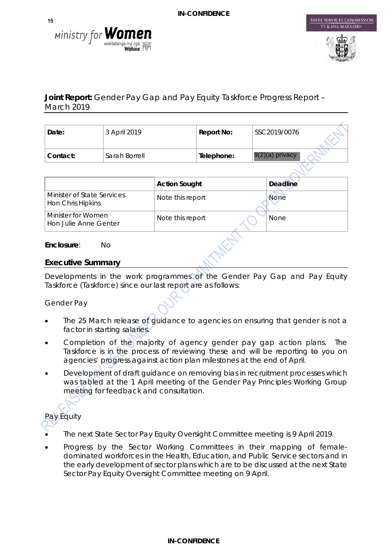



STATE SERVICES COMMISSION

## **Joint Report:** Gender Pay Gap and Pay Equity Taskforce Progress Report – March 2019

| Date:    | 3 April 2019  | Report No: | SSC2019/0076      |  |
|----------|---------------|------------|-------------------|--|
| Contact: | Sarah Borrell | Telephone: | $9(2)(a)$ privacy |  |

|                                                 | <b>Action Sought</b> | <b>Deadline</b> |
|-------------------------------------------------|----------------------|-----------------|
| Minister of State Services<br>Hon Chris Hipkins | Note this report     | <b>None</b>     |
| Minister for Women<br>Hon Julie Anne Genter     | Note this report     | <b>None</b>     |

#### **Enclosure**: No

#### **Executive Summary**

Developments in the work programmes of the Gender Pay Gap and Pay Equity Taskforce (Taskforce) since our last report are as follows:

#### *Gender Pay*

- The 25 March release of guidance to agencies on ensuring that gender is not a factor in starting salaries.
- Completion of the majority of agency gender pay gap action plans. The Taskforce is in the process of reviewing these and will be reporting to you on agencies' progress against action plan milestones at the end of April.
- Development of draft guidance on removing bias in recruitment processes which was tabled at the 1 April meeting of the Gender Pay Principles Working Group meeting for feedback and consultation.

# *Pay Equity*

- 
- The next State Sector Pay Equity Oversight Committee meeting is 9 April 2019.
- Progress by the Sector Working Committees in their mapping of femaledominated workforces in the Health, Education, and Public Service sectors and in the early development of sector plans which are to be discussed at the next State Sector Pay Equity Oversight Committee meeting on 9 April.

#### **IN-CONFIDENCE**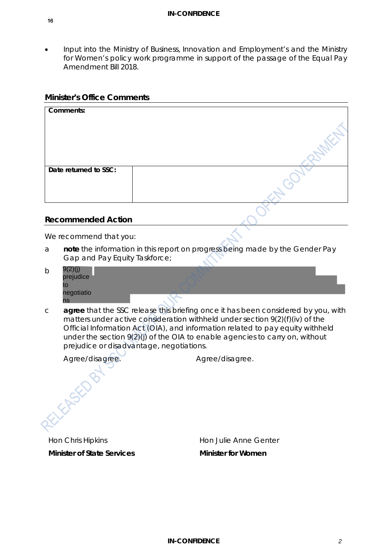• Input into the Ministry of Business, Innovation and Employment's and the Ministry for Women's policy work programme in support of the passage of the Equal Pay Amendment Bill 2018.

#### **Minister's Office Comments**

| Comments:             |  |
|-----------------------|--|
| Date returned to SSC: |  |
|                       |  |

#### **Recommended Action**

We recommend that you:

a **note** the information in this report on progress being made by the Gender Pay Gap and Pay Equity Taskforce;

| b | prejudice<br>to  |  |
|---|------------------|--|
|   | negotiatio<br>ns |  |

c **agree** that the SSC release this briefing once it has been considered by you, with matters under active consideration withheld under section 9(2)(f)(iv) of the Official Information Act (OIA), and information related to pay equity withheld under the section 9(2)(j) of the OIA to enable agencies to carry on, without prejudice or disadvantage, negotiations.

**FEASED** 

*Agree/disagree. Agree/disagree.*

Hon Chris Hipkins **Minister of State Services**

Hon Julie Anne Genter **Minister for Women**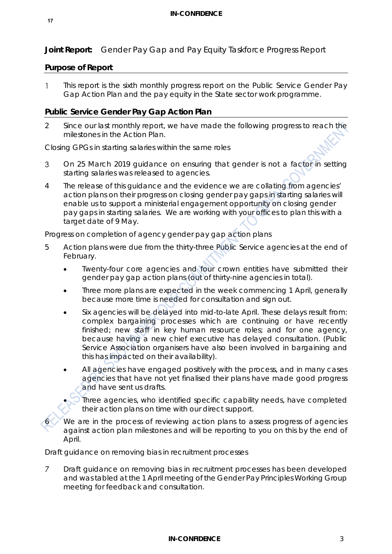**Joint Report:** Gender Pay Gap and Pay Equity Taskforce Progress Report

#### **Purpose of Report**

This report is the sixth monthly progress report on the Public Service Gender Pay  $\mathbf{1}$ Gap Action Plan and the pay equity in the State sector work programme.

### **Public Service Gender Pay Gap Action Plan**

2 Since our last monthly report, we have made the following progress to reach the milestones in the Action Plan.

*Closing GPGs in starting salaries within the same roles*

- On 25 March 2019 guidance on ensuring that gender is not a factor in setting 3 starting salaries was released to agencies.
- 4 The release of this guidance and the evidence we are collating from agencies' action plans on their progress on closing gender pay gaps in starting salaries will enable us to support a ministerial engagement opportunity on closing gender pay gaps in starting salaries. We are working with your offices to plan this with a target date of 9 May.

*Progress on completion of agency gender pay gap action plans*

- 5 Action plans were due from the thirty-three Public Service agencies at the end of February.
	- Twenty-four core agencies and four crown entities have submitted their gender pay gap action plans (out of thirty-nine agencies in total).
	- Three more plans are expected in the week commencing 1 April, generally because more time is needed for consultation and sign out.
	- Six agencies will be delayed into mid-to-late April. These delays result from: complex bargaining processes which are continuing or have recently finished; new staff in key human resource roles; and for one agency, because having a new chief executive has delayed consultation. (Public Service Association organisers have also been involved in bargaining and this has impacted on their availability).
	- All agencies have engaged positively with the process, and in many cases agencies that have not yet finalised their plans have made good progress and have sent us drafts.

• Three agencies, who identified specific capability needs, have completed their action plans on time with our direct support.

We are in the process of reviewing action plans to assess progress of agencies against action plan milestones and will be reporting to you on this by the end of April.

#### *Draft guidance on removing bias in recruitment processes*

 $\overline{7}$ Draft guidance on removing bias in recruitment processes has been developed and was tabled at the 1 April meeting of the Gender Pay Principles Working Group meeting for feedback and consultation.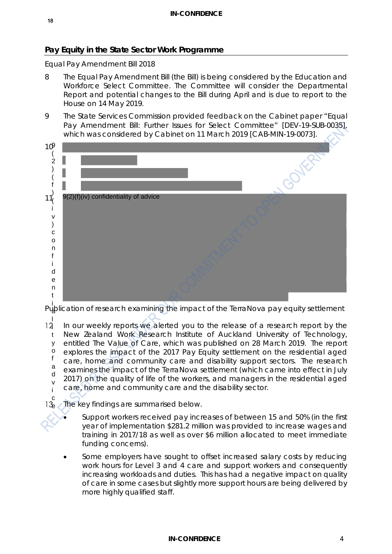## **Pay Equity in the State Sector Work Programme**

#### *Equal Pay Amendment Bill 2018*

- 8 The Equal Pay Amendment Bill (the Bill) is being considered by the Education and Workforce Select Committee. The Committee will consider the Departmental Report and potential changes to the Bill during April and is due to report to the House on 14 May 2019.
- 9 The State Services Commission provided feedback on the Cabinet paper "*Equal Pay Amendment Bill: Further Issues for Select Committee*" [DEV-19-SUB-0035], which was considered by Cabinet on 11 March 2019 [CAB-MIN-19-0073].



*Publication of research examining the impact of the TerraNova pay equity settlement* a

In our weekly reports we alerted you to the release of a research report by the New Zealand Work Research Institute of Auckland University of Technology, entitled *The Value of Care,* which was published on 28 March 2019. The report explores the impact of the 2017 Pay Equity settlement on the residential aged care, home and community care and disability support sectors. The research examines the impact of the TerraNova settlement (which came into effect in July 2017) on the quality of life of the workers, and managers in the residential aged care, home and community care and the disability sector. l  $12 \,$ t y o f a d v i c

 $\frac{1}{6}$  The key findings are summarised below.

- Support workers received pay increases of between 15 and 50% (in the first year of implementation \$281.2 million was provided to increase wages and training in 2017/18 as well as over \$6 million allocated to meet immediate funding concerns).
- Some employers have sought to offset increased salary costs by reducing work hours for Level 3 and 4 care and support workers and consequently increasing workloads and duties. This has had a negative impact on quality of care in some cases but slightly more support hours are being delivered by more highly qualified staff.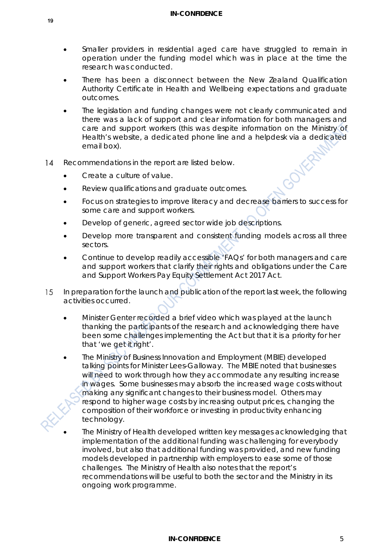- Smaller providers in residential aged care have struggled to remain in operation under the funding model which was in place at the time the research was conducted.
- There has been a disconnect between the New Zealand Qualification Authority Certificate in Health and Wellbeing expectations and graduate outcomes.
- The legislation and funding changes were not clearly communicated and there was a lack of support and clear information for both managers and care and support workers (this was despite information on the Ministry of Health's website, a dedicated phone line and a helpdesk via a dedicated email box).
- $14$ Recommendations in the report are listed below.
	- Create a culture of value.
	- Review qualifications and graduate outcomes.
	- Focus on strategies to improve literacy and decrease barriers to success for some care and support workers.
	- Develop of generic, agreed sector wide job descriptions.
	- Develop more transparent and consistent funding models across all three sectors.
	- Continue to develop readily accessible 'FAQs' for both managers and care and support workers that clarify their rights and obligations under the Care and Support Workers Pay Equity Settlement Act 2017 Act.
- 15 In preparation for the launch and publication of the report last week, the following activities occurred.
	- *Minister Genter recorded a brief video* which was played at the launch thanking the participants of the research and acknowledging there have been some challenges implementing the Act but that it is a priority for her that 'we get it right'.
	- *The Ministry of Business Innovation and Employment (MBIE) developed talking points for Minister Lees-Galloway*. The MBIE noted that businesses will need to work through how they accommodate any resulting increase in wages. Some businesses may absorb the increased wage costs without making any significant changes to their business model. Others may respond to higher wage costs by increasing output prices, changing the composition of their workforce or investing in productivity enhancing technology.
	- *The Ministry of Health developed written key messages* acknowledging that implementation of the additional funding was challenging for everybody involved, but also that additional funding was provided, and new funding models developed in partnership with employers to ease some of those challenges. The Ministry of Health also notes that the report's recommendations will be useful to both the sector and the Ministry in its ongoing work programme.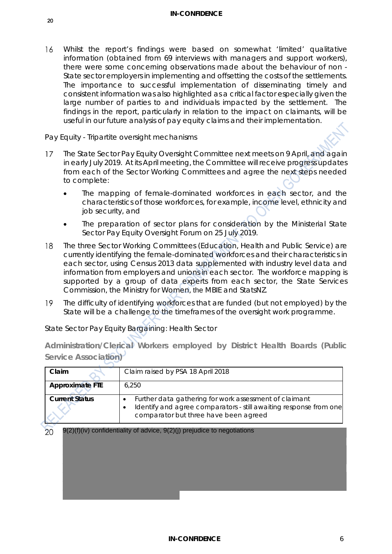#### **IN-CONFIDENCE**

Whilst the report's findings were based on somewhat 'limited' qualitative 16 information (obtained from 69 interviews with managers and support workers), there were some concerning observations made about the behaviour of non - State sector employers in implementing and offsetting the costs of the settlements. The importance to successful implementation of disseminating timely and consistent information was also highlighted as a critical factor especially given the large number of parties to and individuals impacted by the settlement. The findings in the report, particularly in relation to the impact on claimants, will be useful in our future analysis of pay equity claims and their implementation.

#### *Pay Equity - Tripartite oversight mechanisms*

- The State Sector Pay Equity Oversight Committee next meets on 9 April, and again  $17$ in early July 2019. At its April meeting, the Committee will receive progress updates from each of the Sector Working Committees and agree the next steps needed to complete:
	- The mapping of female-dominated workforces in each sector, and the characteristics of those workforces, for example, income level, ethnicity and job security, and
	- The preparation of sector plans for consideration by the Ministerial State Sector Pay Equity Oversight Forum on 25 July 2019.
- The three Sector Working Committees (Education, Health and Public Service) are 18 currently identifying the female-dominated workforces and their characteristics in each sector, using Census 2013 data supplemented with industry level data and information from employers and unions in each sector. The workforce mapping is supported by a group of data experts from each sector, the State Services Commission, the Ministry for Women, the MBIE and StatsNZ.
- 19 The difficulty of identifying workforces that are funded (but not employed) by the State will be a challenge to the timeframes of the oversight work programme.

| Claim                  | Claim raised by PSA 18 April 2018                                                                                                                                    |
|------------------------|----------------------------------------------------------------------------------------------------------------------------------------------------------------------|
| <b>Approximate FTE</b> | 6.250                                                                                                                                                                |
| <b>Current Status</b>  | Further data gathering for work assessment of claimant<br>Identify and agree comparators - still awaiting response from one<br>comparator but three have been agreed |

*State Sector Pay Equity Bargaining: Health Sector* 

**Administration/Clerical Workers employed by District Health Boards (Public Service Association)** 

 $20<sub>o</sub>$ 9(2)(f)(iv) confidentiality of advice, 9(2)(j) prejudice to negotiations